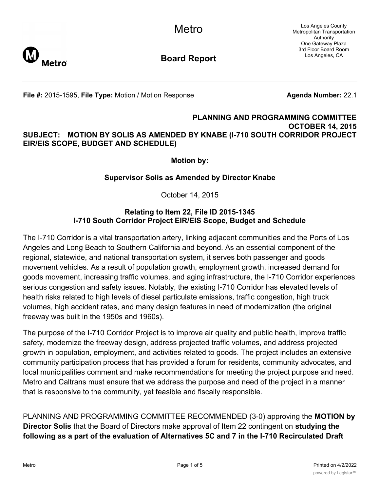Los Angeles County Metropolitan Transportation Authority One Gateway Plaza 3rd Floor Board Room Los Angeles, CA



**Board Report**

**File #:** 2015-1595, File Type: Motion / Motion Response **Agenda Number:** 22.1

## **PLANNING AND PROGRAMMING COMMITTEE OCTOBER 14, 2015 SUBJECT: MOTION BY SOLIS AS AMENDED BY KNABE (I-710 SOUTH CORRIDOR PROJECT EIR/EIS SCOPE, BUDGET AND SCHEDULE)**

**Motion by:**

## **Supervisor Solis as Amended by Director Knabe**

October 14, 2015

## **Relating to Item 22, File ID 2015-1345 I-710 South Corridor Project EIR/EIS Scope, Budget and Schedule**

The I-710 Corridor is a vital transportation artery, linking adjacent communities and the Ports of Los Angeles and Long Beach to Southern California and beyond. As an essential component of the regional, statewide, and national transportation system, it serves both passenger and goods movement vehicles. As a result of population growth, employment growth, increased demand for goods movement, increasing traffic volumes, and aging infrastructure, the I-710 Corridor experiences serious congestion and safety issues. Notably, the existing I-710 Corridor has elevated levels of health risks related to high levels of diesel particulate emissions, traffic congestion, high truck volumes, high accident rates, and many design features in need of modernization (the original freeway was built in the 1950s and 1960s).

The purpose of the I-710 Corridor Project is to improve air quality and public health, improve traffic safety, modernize the freeway design, address projected traffic volumes, and address projected growth in population, employment, and activities related to goods. The project includes an extensive community participation process that has provided a forum for residents, community advocates, and local municipalities comment and make recommendations for meeting the project purpose and need. Metro and Caltrans must ensure that we address the purpose and need of the project in a manner that is responsive to the community, yet feasible and fiscally responsible.

PLANNING AND PROGRAMMING COMMITTEE RECOMMENDED (3-0) approving the **MOTION by Director Solis** that the Board of Directors make approval of Item 22 contingent on **studying the following as a part of the evaluation of Alternatives 5C and 7 in the I-710 Recirculated Draft**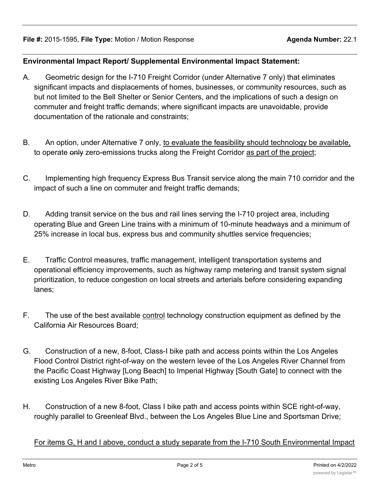## **Environmental Impact Report/ Supplemental Environmental Impact Statement:**

- A. Geometric design for the I-710 Freight Corridor (under Alternative 7 only) that eliminates significant impacts and displacements of homes, businesses, or community resources, such as but not limited to the Bell Shelter or Senior Centers, and the implications of such a design on commuter and freight traffic demands; where significant impacts are unavoidable, provide documentation of the rationale and constraints;
- B. An option, under Alternative 7 only, to evaluate the feasibility should technology be available, to operate only zero-emissions trucks along the Freight Corridor as part of the project;
- C. Implementing high frequency Express Bus Transit service along the main 710 corridor and the impact of such a line on commuter and freight traffic demands;
- D. Adding transit service on the bus and rail lines serving the I-710 project area, including operating Blue and Green Line trains with a minimum of 10-minute headways and a minimum of 25% increase in local bus, express bus and community shuttles service frequencies;
- E. Traffic Control measures, traffic management, intelligent transportation systems and operational efficiency improvements, such as highway ramp metering and transit system signal prioritization, to reduce congestion on local streets and arterials before considering expanding lanes;
- F. The use of the best available control technology construction equipment as defined by the California Air Resources Board;
- G. Construction of a new, 8-foot, Class-I bike path and access points within the Los Angeles Flood Control District right-of-way on the western levee of the Los Angeles River Channel from the Pacific Coast Highway [Long Beach] to Imperial Highway [South Gate] to connect with the existing Los Angeles River Bike Path;
- H. Construction of a new 8-foot, Class I bike path and access points within SCE right-of-way, roughly parallel to Greenleaf Blvd., between the Los Angeles Blue Line and Sportsman Drive;

For items G, H and I above, conduct a study separate from the I-710 South Environmental Impact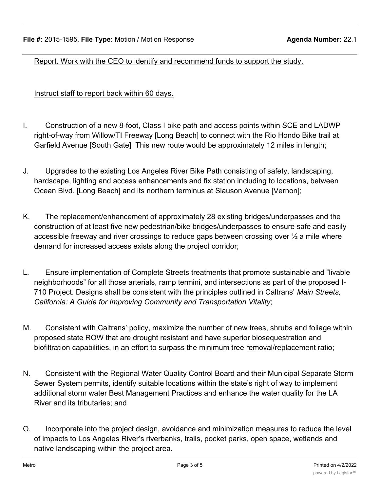Report. Work with the CEO to identify and recommend funds to support the study.

Instruct staff to report back within 60 days.

- I. Construction of a new 8-foot, Class I bike path and access points within SCE and LADWP right-of-way from Willow/TI Freeway [Long Beach] to connect with the Rio Hondo Bike trail at Garfield Avenue [South Gate] This new route would be approximately 12 miles in length;
- J. Upgrades to the existing Los Angeles River Bike Path consisting of safety, landscaping, hardscape, lighting and access enhancements and fix station including to locations, between Ocean Blvd. [Long Beach] and its northern terminus at Slauson Avenue [Vernon];
- K. The replacement/enhancement of approximately 28 existing bridges/underpasses and the construction of at least five new pedestrian/bike bridges/underpasses to ensure safe and easily accessible freeway and river crossings to reduce gaps between crossing over  $\frac{1}{2}$  a mile where demand for increased access exists along the project corridor;
- L. Ensure implementation of Complete Streets treatments that promote sustainable and "livable neighborhoods" for all those arterials, ramp termini, and intersections as part of the proposed I-710 Project. Designs shall be consistent with the principles outlined in Caltrans' *Main Streets, California: A Guide for Improving Community and Transportation Vitality*;
- M. Consistent with Caltrans' policy, maximize the number of new trees, shrubs and foliage within proposed state ROW that are drought resistant and have superior biosequestration and biofiltration capabilities, in an effort to surpass the minimum tree removal/replacement ratio;
- N. Consistent with the Regional Water Quality Control Board and their Municipal Separate Storm Sewer System permits, identify suitable locations within the state's right of way to implement additional storm water Best Management Practices and enhance the water quality for the LA River and its tributaries; and
- O. Incorporate into the project design, avoidance and minimization measures to reduce the level of impacts to Los Angeles River's riverbanks, trails, pocket parks, open space, wetlands and native landscaping within the project area.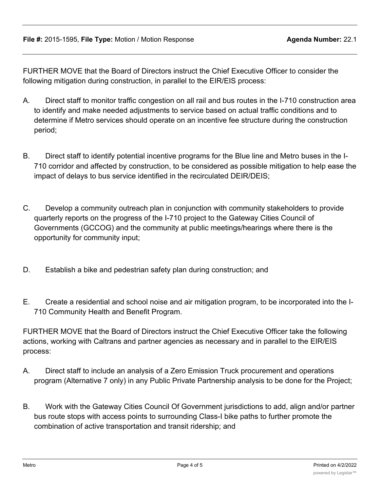FURTHER MOVE that the Board of Directors instruct the Chief Executive Officer to consider the following mitigation during construction, in parallel to the EIR/EIS process:

- A. Direct staff to monitor traffic congestion on all rail and bus routes in the I-710 construction area to identify and make needed adjustments to service based on actual traffic conditions and to determine if Metro services should operate on an incentive fee structure during the construction period;
- B. Direct staff to identify potential incentive programs for the Blue line and Metro buses in the I-710 corridor and affected by construction, to be considered as possible mitigation to help ease the impact of delays to bus service identified in the recirculated DEIR/DEIS;
- C. Develop a community outreach plan in conjunction with community stakeholders to provide quarterly reports on the progress of the I-710 project to the Gateway Cities Council of Governments (GCCOG) and the community at public meetings/hearings where there is the opportunity for community input;
- D. Establish a bike and pedestrian safety plan during construction; and
- E. Create a residential and school noise and air mitigation program, to be incorporated into the I-710 Community Health and Benefit Program.

FURTHER MOVE that the Board of Directors instruct the Chief Executive Officer take the following actions, working with Caltrans and partner agencies as necessary and in parallel to the EIR/EIS process:

- A. Direct staff to include an analysis of a Zero Emission Truck procurement and operations program (Alternative 7 only) in any Public Private Partnership analysis to be done for the Project;
- B. Work with the Gateway Cities Council Of Government jurisdictions to add, align and/or partner bus route stops with access points to surrounding Class-I bike paths to further promote the combination of active transportation and transit ridership; and